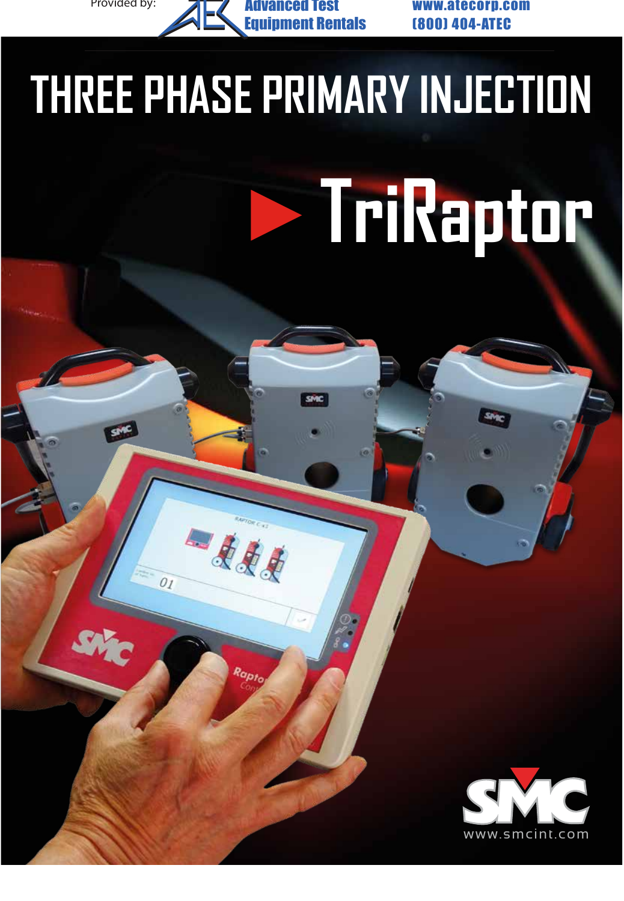Provided by: **ALTY Advanced Test www.atecorp.com** Advanced Test nent Rentals

-111

 $O_I$ 

(800) 404-ATEC

# **THREE PHASE PRIMARY INJECTION**

# **TriRaptor**

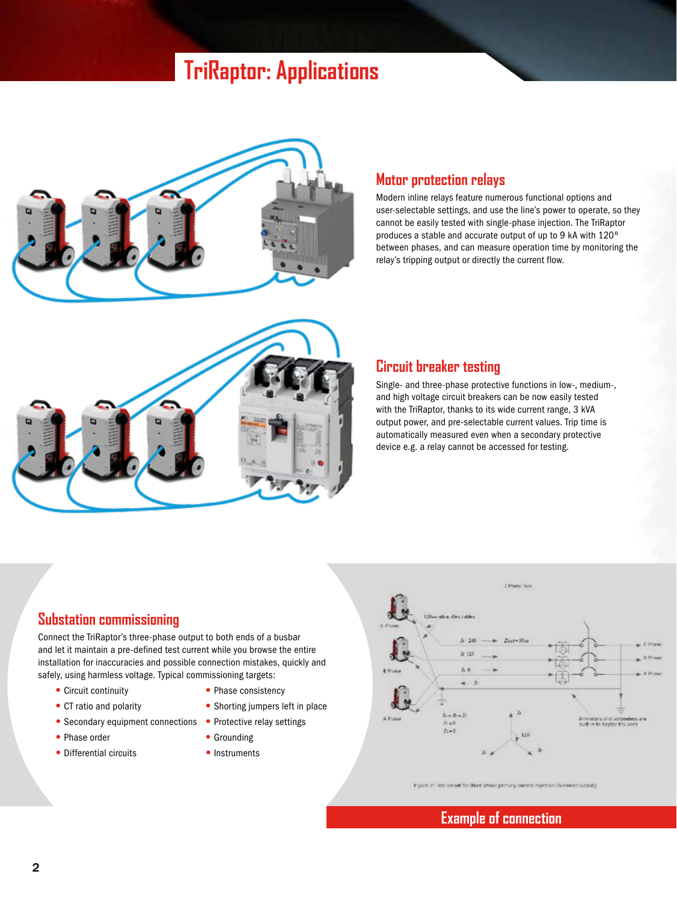## **TriRaptor: Applications**



#### **Motor protection relays**

Modern inline relays feature numerous functional options and user-selectable settings, and use the line's power to operate, so they cannot be easily tested with single-phase injection. The TriRaptor produces a stable and accurate output of up to 9 kA with 120º between phases, and can measure operation time by monitoring the relay's tripping output or directly the current flow.



#### **Circuit breaker testing**

Single- and three-phase protective functions in low-, medium-, and high voltage circuit breakers can be now easily tested with the TriRaptor, thanks to its wide current range, 3 kVA output power, and pre-selectable current values. Trip time is automatically measured even when a secondary protective device e.g. a relay cannot be accessed for testing.

#### **Substation commissioning**

Connect the TriRaptor's three-phase output to both ends of a busbar and let it maintain a pre-defined test current while you browse the entire installation for inaccuracies and possible connection mistakes, quickly and safely, using harmless voltage. Typical commissioning targets:

- 
- 
- Secondary equipment connections Protective relay settings
- Phase order Grounding
- Differential circuits Instruments
- Circuit continuity Phase consistency
- CT ratio and polarity Shorting jumpers left in place
	-
	-
	-



Figure 2: Text critere for three phase primary current injection (balanced cusput)

#### **Example of connection**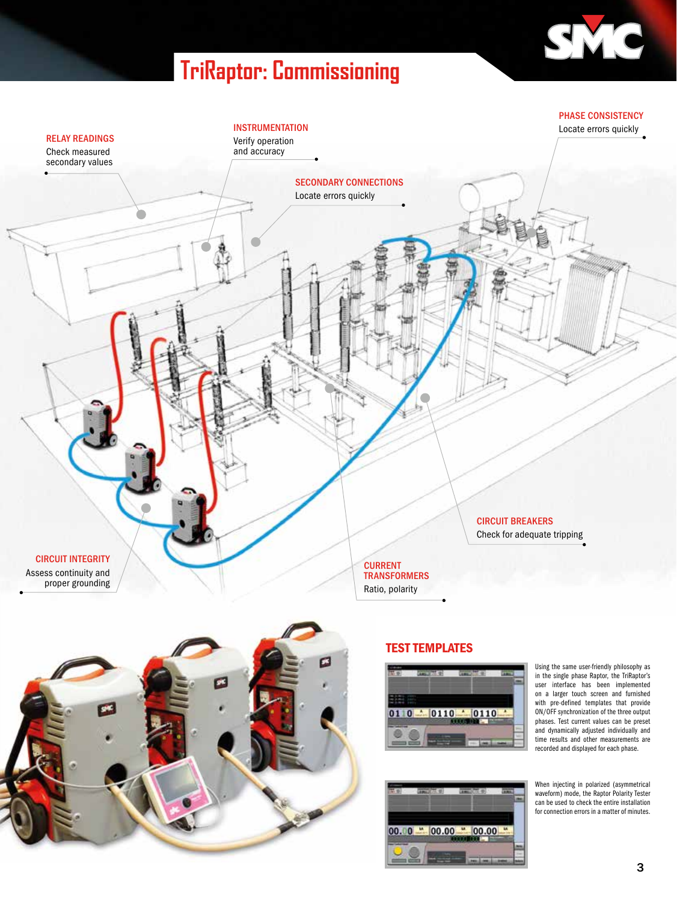# **TriRaptor: Commissioning**







#### TEST TEMPLATES



 $00.00 - 00.00 - 00.00$ 

Using the same user-friendly philosophy as in the single phase Raptor, the TriRaptor's user interface has been implemented on a larger touch screen and furnished with pre-defined templates that provide ON/OFF synchronization of the three output phases. Test current values can be preset and dynamically adjusted individually and time results and other measurements are recorded and displayed for each phase.

When injecting in polarized (asymmetrical waveform) mode, the Raptor Polarity Tester can be used to check the entire installation for connection errors in a matter of minutes.